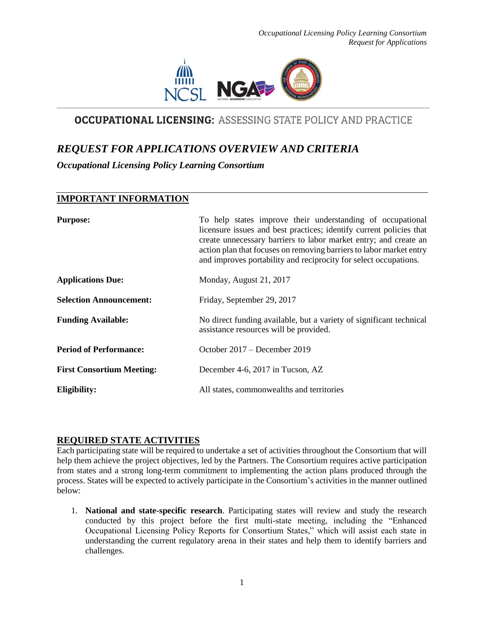

# **OCCUPATIONAL LICENSING: ASSESSING STATE POLICY AND PRACTICE**

# *REQUEST FOR APPLICATIONS OVERVIEW AND CRITERIA*

*Occupational Licensing Policy Learning Consortium*

# **IMPORTANT INFORMATION**

| <b>Purpose:</b>                  | To help states improve their understanding of occupational<br>licensure issues and best practices; identify current policies that<br>create unnecessary barriers to labor market entry; and create an<br>action plan that focuses on removing barriers to labor market entry<br>and improves portability and reciprocity for select occupations. |
|----------------------------------|--------------------------------------------------------------------------------------------------------------------------------------------------------------------------------------------------------------------------------------------------------------------------------------------------------------------------------------------------|
| <b>Applications Due:</b>         | Monday, August 21, 2017                                                                                                                                                                                                                                                                                                                          |
| <b>Selection Announcement:</b>   | Friday, September 29, 2017                                                                                                                                                                                                                                                                                                                       |
| <b>Funding Available:</b>        | No direct funding available, but a variety of significant technical<br>assistance resources will be provided.                                                                                                                                                                                                                                    |
| <b>Period of Performance:</b>    | October 2017 – December 2019                                                                                                                                                                                                                                                                                                                     |
| <b>First Consortium Meeting:</b> | December 4-6, 2017 in Tucson, AZ                                                                                                                                                                                                                                                                                                                 |
| Eligibility:                     | All states, commonwealths and territories                                                                                                                                                                                                                                                                                                        |

## **REQUIRED STATE ACTIVITIES**

Each participating state will be required to undertake a set of activities throughout the Consortium that will help them achieve the project objectives, led by the Partners. The Consortium requires active participation from states and a strong long-term commitment to implementing the action plans produced through the process. States will be expected to actively participate in the Consortium's activities in the manner outlined below:

1. **National and state-specific research**. Participating states will review and study the research conducted by this project before the first multi-state meeting, including the "Enhanced Occupational Licensing Policy Reports for Consortium States," which will assist each state in understanding the current regulatory arena in their states and help them to identify barriers and challenges.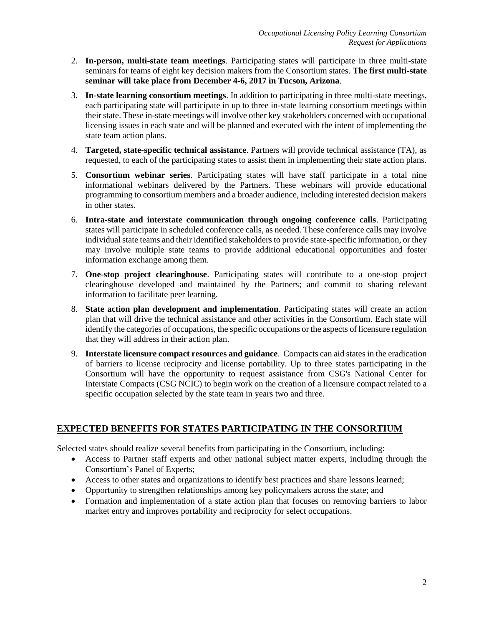- 2. **In-person, multi-state team meetings**. Participating states will participate in three multi-state seminars for teams of eight key decision makers from the Consortium states. **The first multi-state seminar will take place from December 4-6, 2017 in Tucson, Arizona**.
- 3. **In-state learning consortium meetings**. In addition to participating in three multi-state meetings, each participating state will participate in up to three in-state learning consortium meetings within their state. These in-state meetings will involve other key stakeholders concerned with occupational licensing issues in each state and will be planned and executed with the intent of implementing the state team action plans.
- 4. **Targeted, state-specific technical assistance**. Partners will provide technical assistance (TA), as requested, to each of the participating states to assist them in implementing their state action plans.
- 5. **Consortium webinar series**. Participating states will have staff participate in a total nine informational webinars delivered by the Partners. These webinars will provide educational programming to consortium members and a broader audience, including interested decision makers in other states.
- 6. **Intra-state and interstate communication through ongoing conference calls**. Participating states will participate in scheduled conference calls, as needed. These conference calls may involve individual state teams and their identified stakeholders to provide state-specific information, or they may involve multiple state teams to provide additional educational opportunities and foster information exchange among them.
- 7. **One-stop project clearinghouse**. Participating states will contribute to a one-stop project clearinghouse developed and maintained by the Partners; and commit to sharing relevant information to facilitate peer learning.
- 8. **State action plan development and implementation**. Participating states will create an action plan that will drive the technical assistance and other activities in the Consortium. Each state will identify the categories of occupations, the specific occupations or the aspects of licensure regulation that they will address in their action plan.
- 9. **Interstate licensure compact resources and guidance**. Compacts can aid states in the eradication of barriers to license reciprocity and license portability. Up to three states participating in the Consortium will have the opportunity to request assistance from CSG's National Center for Interstate Compacts (CSG NCIC) to begin work on the creation of a licensure compact related to a specific occupation selected by the state team in years two and three.

# **EXPECTED BENEFITS FOR STATES PARTICIPATING IN THE CONSORTIUM**

Selected states should realize several benefits from participating in the Consortium, including:

- Access to Partner staff experts and other national subject matter experts, including through the Consortium's Panel of Experts;
- Access to other states and organizations to identify best practices and share lessons learned;
- Opportunity to strengthen relationships among key policymakers across the state; and
- Formation and implementation of a state action plan that focuses on removing barriers to labor market entry and improves portability and reciprocity for select occupations.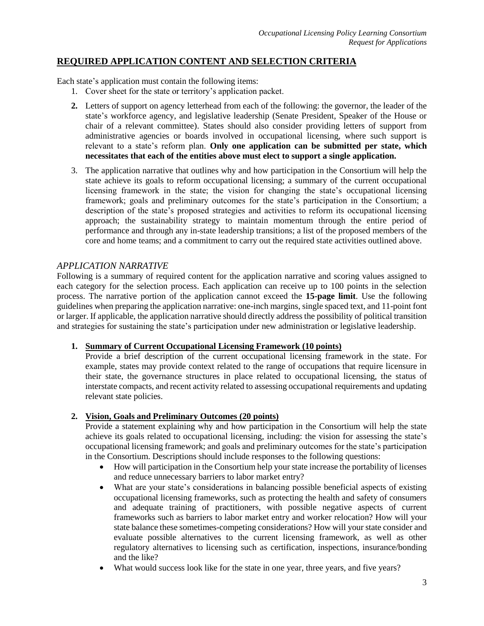# **REQUIRED APPLICATION CONTENT AND SELECTION CRITERIA**

Each state's application must contain the following items:

- 1. Cover sheet for the state or territory's application packet.
- **2.** Letters of support on agency letterhead from each of the following: the governor, the leader of the state's workforce agency, and legislative leadership (Senate President, Speaker of the House or chair of a relevant committee). States should also consider providing letters of support from administrative agencies or boards involved in occupational licensing, where such support is relevant to a state's reform plan. **Only one application can be submitted per state, which necessitates that each of the entities above must elect to support a single application.**
- 3. The application narrative that outlines why and how participation in the Consortium will help the state achieve its goals to reform occupational licensing; a summary of the current occupational licensing framework in the state; the vision for changing the state's occupational licensing framework; goals and preliminary outcomes for the state's participation in the Consortium; a description of the state's proposed strategies and activities to reform its occupational licensing approach; the sustainability strategy to maintain momentum through the entire period of performance and through any in-state leadership transitions; a list of the proposed members of the core and home teams; and a commitment to carry out the required state activities outlined above.

## *APPLICATION NARRATIVE*

Following is a summary of required content for the application narrative and scoring values assigned to each category for the selection process. Each application can receive up to 100 points in the selection process. The narrative portion of the application cannot exceed the **15-page limit**. Use the following guidelines when preparing the application narrative: one-inch margins, single spaced text, and 11-point font or larger. If applicable, the application narrative should directly address the possibility of political transition and strategies for sustaining the state's participation under new administration or legislative leadership.

#### **1. Summary of Current Occupational Licensing Framework (10 points)**

Provide a brief description of the current occupational licensing framework in the state. For example, states may provide context related to the range of occupations that require licensure in their state, the governance structures in place related to occupational licensing, the status of interstate compacts, and recent activity related to assessing occupational requirements and updating relevant state policies.

#### **2. Vision, Goals and Preliminary Outcomes (20 points)**

Provide a statement explaining why and how participation in the Consortium will help the state achieve its goals related to occupational licensing, including: the vision for assessing the state's occupational licensing framework; and goals and preliminary outcomes for the state's participation in the Consortium. Descriptions should include responses to the following questions:

- How will participation in the Consortium help your state increase the portability of licenses and reduce unnecessary barriers to labor market entry?
- What are your state's considerations in balancing possible beneficial aspects of existing occupational licensing frameworks, such as protecting the health and safety of consumers and adequate training of practitioners, with possible negative aspects of current frameworks such as barriers to labor market entry and worker relocation? How will your state balance these sometimes-competing considerations? How will your state consider and evaluate possible alternatives to the current licensing framework, as well as other regulatory alternatives to licensing such as certification, inspections, insurance/bonding and the like?
- What would success look like for the state in one year, three years, and five years?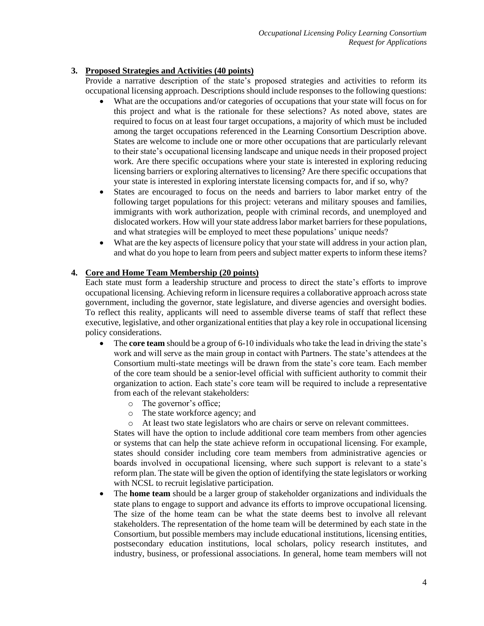### **3. Proposed Strategies and Activities (40 points)**

Provide a narrative description of the state's proposed strategies and activities to reform its occupational licensing approach. Descriptions should include responses to the following questions:

- What are the occupations and/or categories of occupations that your state will focus on for this project and what is the rationale for these selections? As noted above, states are required to focus on at least four target occupations, a majority of which must be included among the target occupations referenced in the Learning Consortium Description above. States are welcome to include one or more other occupations that are particularly relevant to their state's occupational licensing landscape and unique needs in their proposed project work. Are there specific occupations where your state is interested in exploring reducing licensing barriers or exploring alternatives to licensing? Are there specific occupations that your state is interested in exploring interstate licensing compacts for, and if so, why?
- States are encouraged to focus on the needs and barriers to labor market entry of the following target populations for this project: veterans and military spouses and families, immigrants with work authorization, people with criminal records, and unemployed and dislocated workers. How will your state address labor market barriers for these populations, and what strategies will be employed to meet these populations' unique needs?
- What are the key aspects of licensure policy that your state will address in your action plan, and what do you hope to learn from peers and subject matter experts to inform these items?

## **4. Core and Home Team Membership (20 points)**

Each state must form a leadership structure and process to direct the state's efforts to improve occupational licensing. Achieving reform in licensure requires a collaborative approach across state government, including the governor, state legislature, and diverse agencies and oversight bodies. To reflect this reality, applicants will need to assemble diverse teams of staff that reflect these executive, legislative, and other organizational entities that play a key role in occupational licensing policy considerations.

- The **core team** should be a group of 6-10 individuals who take the lead in driving the state's work and will serve as the main group in contact with Partners. The state's attendees at the Consortium multi-state meetings will be drawn from the state's core team. Each member of the core team should be a senior-level official with sufficient authority to commit their organization to action. Each state's core team will be required to include a representative from each of the relevant stakeholders:
	- o The governor's office;
	- o The state workforce agency; and
	- At least two state legislators who are chairs or serve on relevant committees.

States will have the option to include additional core team members from other agencies or systems that can help the state achieve reform in occupational licensing. For example, states should consider including core team members from administrative agencies or boards involved in occupational licensing, where such support is relevant to a state's reform plan. The state will be given the option of identifying the state legislators or working with NCSL to recruit legislative participation.

 The **home team** should be a larger group of stakeholder organizations and individuals the state plans to engage to support and advance its efforts to improve occupational licensing. The size of the home team can be what the state deems best to involve all relevant stakeholders. The representation of the home team will be determined by each state in the Consortium, but possible members may include educational institutions, licensing entities, postsecondary education institutions, local scholars, policy research institutes, and industry, business, or professional associations. In general, home team members will not